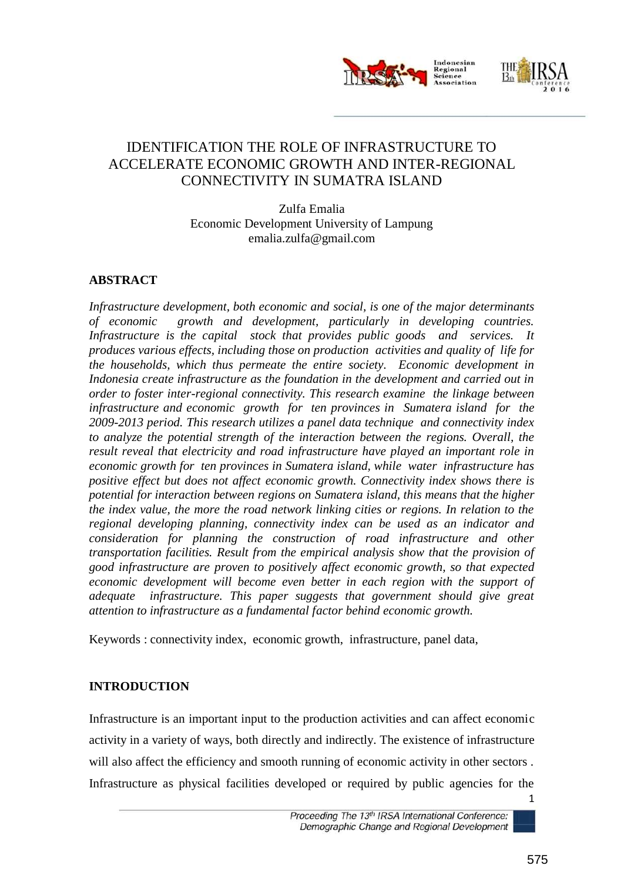

## IDENTIFICATION THE ROLE OF INFRASTRUCTURE TO ACCELERATE ECONOMIC GROWTH AND INTER-REGIONAL CONNECTIVITY IN SUMATRA ISLAND

Zulfa Emalia Economic Development University of Lampung emalia.zulfa@gmail.com

### **ABSTRACT**

*Infrastructure development, both economic and social, is one of the major determinants of economic growth and development, particularly in developing countries. Infrastructure is the capital stock that provides public goods and services. It produces various effects, including those on production activities and quality of life for the households, which thus permeate the entire society. Economic development in Indonesia create infrastructure as the foundation in the development and carried out in order to foster inter-regional connectivity. This research examine the linkage between infrastructure and economic growth for ten provinces in Sumatera island for the 2009-2013 period. This research utilizes a panel data technique and connectivity index to analyze the potential strength of the interaction between the regions. Overall, the result reveal that electricity and road infrastructure have played an important role in economic growth for ten provinces in Sumatera island, while water infrastructure has positive effect but does not affect economic growth. Connectivity index shows there is potential for interaction between regions on Sumatera island, this means that the higher the index value, the more the road network linking cities or regions. In relation to the regional developing planning, connectivity index can be used as an indicator and consideration for planning the construction of road infrastructure and other transportation facilities. Result from the empirical analysis show that the provision of good infrastructure are proven to positively affect economic growth, so that expected economic development will become even better in each region with the support of adequate infrastructure. This paper suggests that government should give great attention to infrastructure as a fundamental factor behind economic growth.*

Keywords : connectivity index, economic growth, infrastructure, panel data,

#### **INTRODUCTION**

Infrastructure is an important input to the production activities and can affect economic activity in a variety of ways, both directly and indirectly. The existence of infrastructure will also affect the efficiency and smooth running of economic activity in other sectors. Infrastructure as physical facilities developed or required by public agencies for the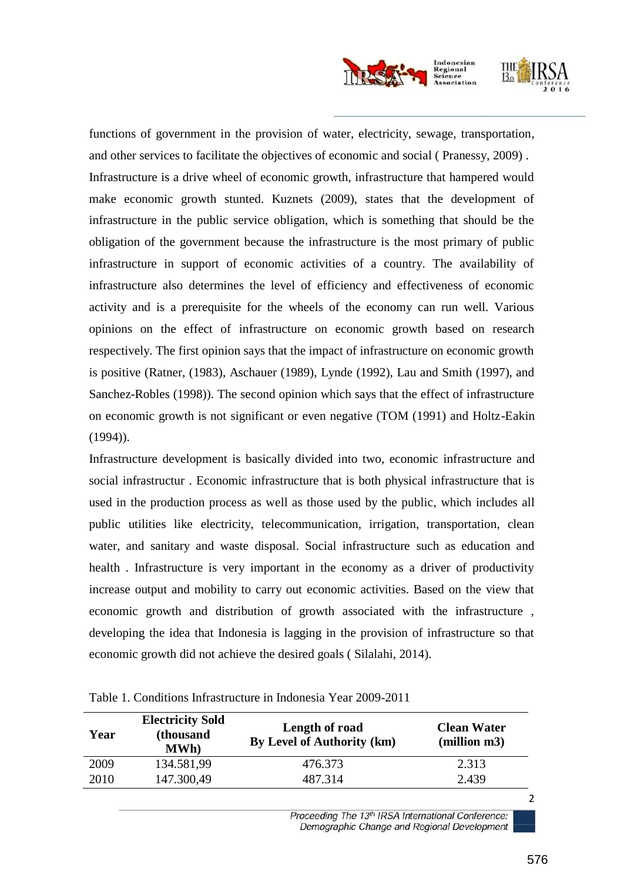

functions of government in the provision of water, electricity, sewage, transportation, and other services to facilitate the objectives of economic and social ( Pranessy, 2009) . Infrastructure is a drive wheel of economic growth, infrastructure that hampered would make economic growth stunted. Kuznets (2009), states that the development of infrastructure in the public service obligation, which is something that should be the obligation of the government because the infrastructure is the most primary of public infrastructure in support of economic activities of a country. The availability of infrastructure also determines the level of efficiency and effectiveness of economic activity and is a prerequisite for the wheels of the economy can run well. Various opinions on the effect of infrastructure on economic growth based on research respectively. The first opinion says that the impact of infrastructure on economic growth is positive (Ratner, (1983), Aschauer (1989), Lynde (1992), Lau and Smith (1997), and Sanchez-Robles (1998)). The second opinion which says that the effect of infrastructure on economic growth is not significant or even negative (TOM (1991) and Holtz-Eakin (1994)).

Infrastructure development is basically divided into two, economic infrastructure and social infrastructur . Economic infrastructure that is both physical infrastructure that is used in the production process as well as those used by the public, which includes all public utilities like electricity, telecommunication, irrigation, transportation, clean water, and sanitary and waste disposal. Social infrastructure such as education and health . Infrastructure is very important in the economy as a driver of productivity increase output and mobility to carry out economic activities. Based on the view that economic growth and distribution of growth associated with the infrastructure , developing the idea that Indonesia is lagging in the provision of infrastructure so that economic growth did not achieve the desired goals ( Silalahi, 2014).

| Year | <b>Electricity Sold</b><br>(thousand<br><b>MWh</b> ) | Length of road<br>By Level of Authority (km) | <b>Clean Water</b><br>(million m3) |
|------|------------------------------------------------------|----------------------------------------------|------------------------------------|
| 2009 | 134.581,99                                           | 476.373                                      | 2.313                              |
| 2010 | 147.300,49                                           | 487.314                                      | 2.439                              |

Table 1. Conditions Infrastructure in Indonesia Year 2009-2011

Proceeding The 13th IRSA International Conference: Demographic Change and Regional Development  $\overline{2}$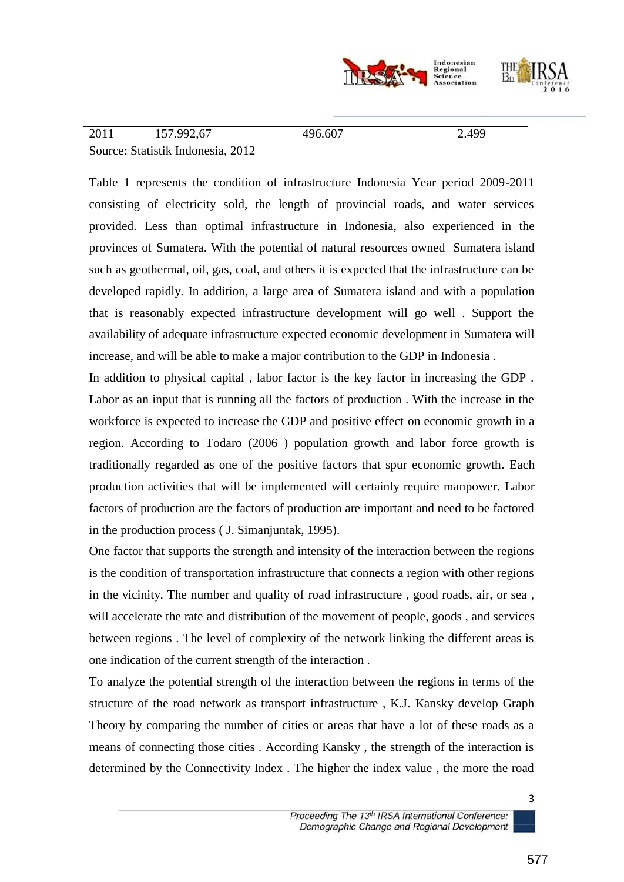

| $\gamma$ 011 | 157.992.67                                                                                                                                                                                                                                                             | .607     | 4QC |
|--------------|------------------------------------------------------------------------------------------------------------------------------------------------------------------------------------------------------------------------------------------------------------------------|----------|-----|
| 2011         | 101.772,01                                                                                                                                                                                                                                                             | $\Delta$ |     |
| $\sim$       | $\bigcap$<br>$C_{1}$ $T_{1}$ $T_{1}$ $T_{2}$ $T_{3}$ $T_{4}$ $T_{5}$ $T_{6}$ $T_{7}$ $T_{8}$ $T_{9}$ $T_{10}$ $T_{11}$ $T_{12}$ $T_{13}$ $T_{14}$ $T_{15}$ $T_{16}$ $T_{17}$ $T_{18}$ $T_{19}$ $T_{10}$ $T_{11}$ $T_{12}$ $T_{13}$ $T_{14}$ $T_{15}$ $T_{16}$ $T_{17}$ |          |     |

Source: Statistik Indonesia, 2012

Table 1 represents the condition of infrastructure Indonesia Year period 2009-2011 consisting of electricity sold, the length of provincial roads, and water services provided. Less than optimal infrastructure in Indonesia, also experienced in the provinces of Sumatera. With the potential of natural resources owned Sumatera island such as geothermal, oil, gas, coal, and others it is expected that the infrastructure can be developed rapidly. In addition, a large area of Sumatera island and with a population that is reasonably expected infrastructure development will go well . Support the availability of adequate infrastructure expected economic development in Sumatera will increase, and will be able to make a major contribution to the GDP in Indonesia .

In addition to physical capital , labor factor is the key factor in increasing the GDP . Labor as an input that is running all the factors of production . With the increase in the workforce is expected to increase the GDP and positive effect on economic growth in a region. According to Todaro (2006 ) population growth and labor force growth is traditionally regarded as one of the positive factors that spur economic growth. Each production activities that will be implemented will certainly require manpower. Labor factors of production are the factors of production are important and need to be factored in the production process ( J. Simanjuntak, 1995).

One factor that supports the strength and intensity of the interaction between the regions is the condition of transportation infrastructure that connects a region with other regions in the vicinity. The number and quality of road infrastructure , good roads, air, or sea , will accelerate the rate and distribution of the movement of people, goods , and services between regions . The level of complexity of the network linking the different areas is one indication of the current strength of the interaction .

To analyze the potential strength of the interaction between the regions in terms of the structure of the road network as transport infrastructure , K.J. Kansky develop Graph Theory by comparing the number of cities or areas that have a lot of these roads as a means of connecting those cities . According Kansky , the strength of the interaction is determined by the Connectivity Index . The higher the index value , the more the road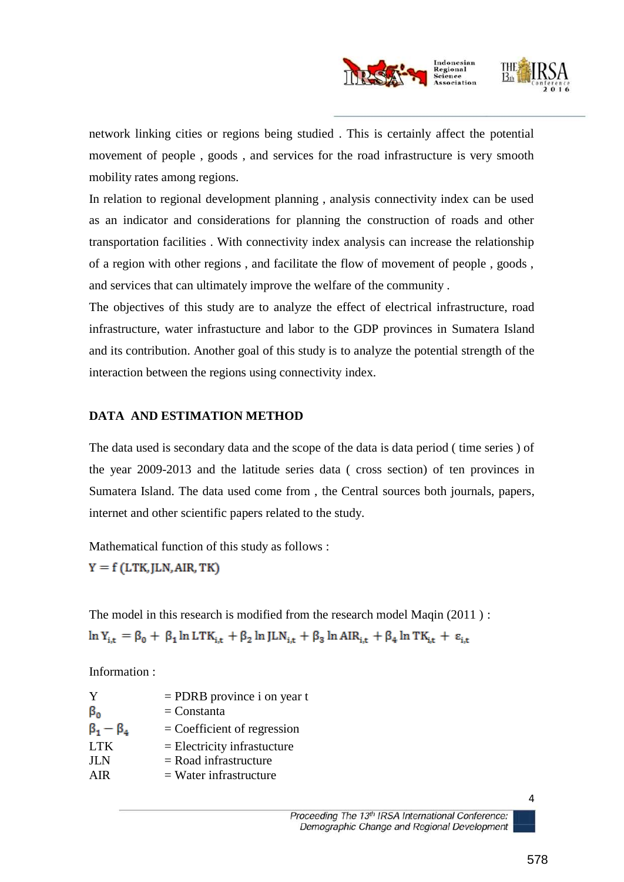

network linking cities or regions being studied . This is certainly affect the potential movement of people , goods , and services for the road infrastructure is very smooth mobility rates among regions.

In relation to regional development planning , analysis connectivity index can be used as an indicator and considerations for planning the construction of roads and other transportation facilities . With connectivity index analysis can increase the relationship of a region with other regions , and facilitate the flow of movement of people , goods , and services that can ultimately improve the welfare of the community .

The objectives of this study are to analyze the effect of electrical infrastructure, road infrastructure, water infrastucture and labor to the GDP provinces in Sumatera Island and its contribution. Another goal of this study is to analyze the potential strength of the interaction between the regions using connectivity index.

### **DATA AND ESTIMATION METHOD**

The data used is secondary data and the scope of the data is data period ( time series ) of the year 2009-2013 and the latitude series data ( cross section) of ten provinces in Sumatera Island. The data used come from , the Central sources both journals, papers, internet and other scientific papers related to the study.

Mathematical function of this study as follows :

 $Y = f(LTK, JLN, AIR, TK)$ 

The model in this research is modified from the research model Maqin (2011) :  $\ln Y_{i,t} = \beta_0 + \beta_1 \ln LTK_{i,t} + \beta_2 \ln JLN_{i,t} + \beta_3 \ln AIR_{i,t} + \beta_4 \ln TK_{i,t} + \varepsilon_{i,t}$ 

Information :

| Y                   | $=$ PDRB province i on year t |
|---------------------|-------------------------------|
| $\beta_0$           | $=$ Constanta                 |
| $\beta_1 - \beta_4$ | $=$ Coefficient of regression |
| <b>LTK</b>          | $=$ Electricity infrastucture |
| <b>JLN</b>          | $=$ Road infrastructure       |
| AIR.                | $=$ Water infrastructure      |
|                     |                               |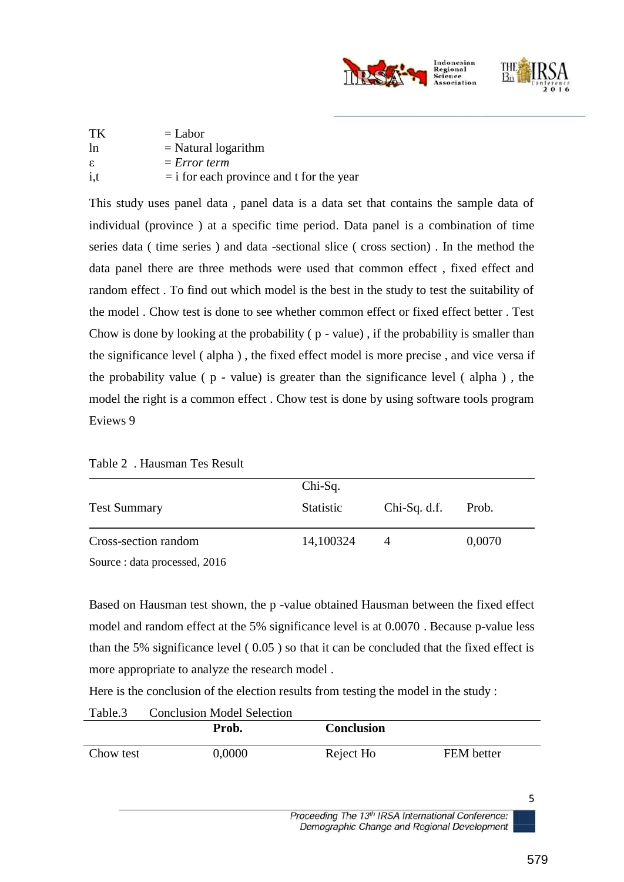

| TK             | $=$ Labor                                  |
|----------------|--------------------------------------------|
| <sup>1</sup> n | $=$ Natural logarithm                      |
| ε.             | $= Error term$                             |
| i, t           | $=$ i for each province and t for the year |

This study uses panel data , panel data is a data set that contains the sample data of individual (province ) at a specific time period. Data panel is a combination of time series data ( time series ) and data -sectional slice ( cross section) . In the method the data panel there are three methods were used that common effect , fixed effect and random effect . To find out which model is the best in the study to test the suitability of the model . Chow test is done to see whether common effect or fixed effect better . Test Chow is done by looking at the probability ( p - value) , if the probability is smaller than the significance level ( alpha ) , the fixed effect model is more precise , and vice versa if the probability value ( p - value) is greater than the significance level ( alpha ) , the model the right is a common effect . Chow test is done by using software tools program Eviews 9

|                               | Chi-Sq.          |                |        |  |
|-------------------------------|------------------|----------------|--------|--|
| <b>Test Summary</b>           | <b>Statistic</b> | $Chi-Sq. d.f.$ | Prob.  |  |
| Cross-section random          | 14,100324        |                | 0,0070 |  |
| Source : data processed, 2016 |                  |                |        |  |

Based on Hausman test shown, the p -value obtained Hausman between the fixed effect model and random effect at the 5% significance level is at 0.0070 . Because p-value less than the 5% significance level ( 0.05 ) so that it can be concluded that the fixed effect is more appropriate to analyze the research model .

Here is the conclusion of the election results from testing the model in the study :

|           | Prob.  | <b>Conclusion</b> |            |
|-----------|--------|-------------------|------------|
| Chow test | 0,0000 | Reject Ho         | FEM better |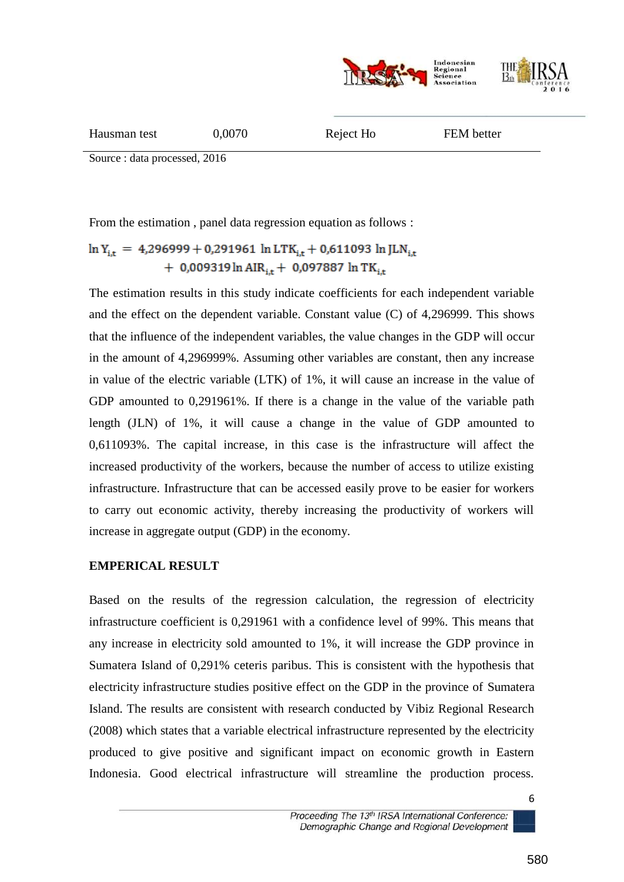

| Hausman test | 0,0070 | Reject Ho | FEM better |
|--------------|--------|-----------|------------|
|              |        |           |            |

Source : data processed, 2016

From the estimation , panel data regression equation as follows :

# $\ln Y_{i,t}$  = 4,296999 + 0,291961  $\ln$  LTK<sub>it</sub> + 0,611093  $\ln$  JLN<sub>it</sub> + 0,009319 ln AIR<sub>i,t</sub> + 0,097887 ln TK<sub>i,t</sub>

The estimation results in this study indicate coefficients for each independent variable and the effect on the dependent variable. Constant value (C) of 4,296999. This shows that the influence of the independent variables, the value changes in the GDP will occur in the amount of 4,296999%. Assuming other variables are constant, then any increase in value of the electric variable (LTK) of 1%, it will cause an increase in the value of GDP amounted to 0,291961%. If there is a change in the value of the variable path length (JLN) of 1%, it will cause a change in the value of GDP amounted to 0,611093%. The capital increase, in this case is the infrastructure will affect the increased productivity of the workers, because the number of access to utilize existing infrastructure. Infrastructure that can be accessed easily prove to be easier for workers to carry out economic activity, thereby increasing the productivity of workers will increase in aggregate output (GDP) in the economy.

#### **EMPERICAL RESULT**

Based on the results of the regression calculation, the regression of electricity infrastructure coefficient is 0,291961 with a confidence level of 99%. This means that any increase in electricity sold amounted to 1%, it will increase the GDP province in Sumatera Island of 0,291% ceteris paribus. This is consistent with the hypothesis that electricity infrastructure studies positive effect on the GDP in the province of Sumatera Island. The results are consistent with research conducted by Vibiz Regional Research (2008) which states that a variable electrical infrastructure represented by the electricity produced to give positive and significant impact on economic growth in Eastern Indonesia. Good electrical infrastructure will streamline the production process.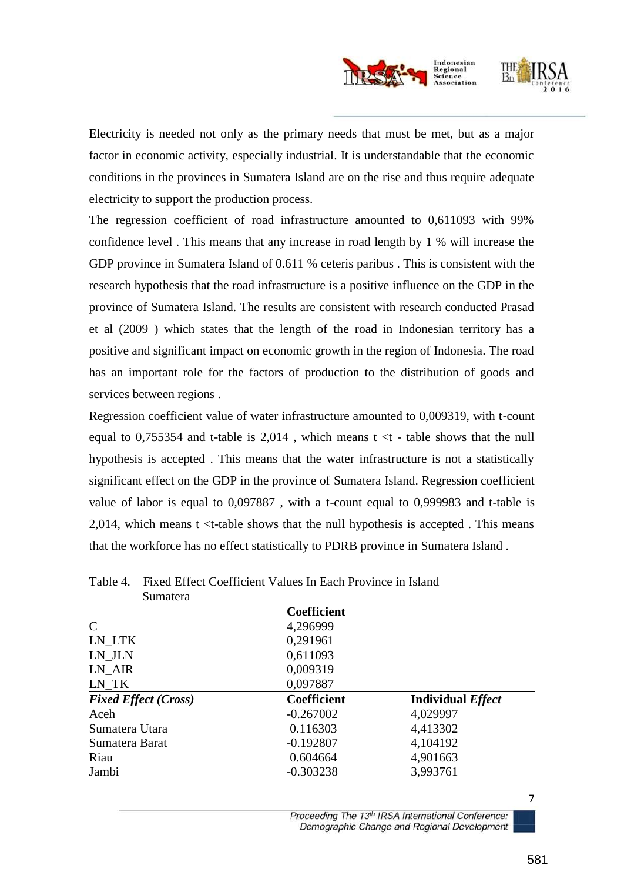

Electricity is needed not only as the primary needs that must be met, but as a major factor in economic activity, especially industrial. It is understandable that the economic conditions in the provinces in Sumatera Island are on the rise and thus require adequate electricity to support the production process.

The regression coefficient of road infrastructure amounted to 0,611093 with 99% confidence level . This means that any increase in road length by 1 % will increase the GDP province in Sumatera Island of 0.611 % ceteris paribus . This is consistent with the research hypothesis that the road infrastructure is a positive influence on the GDP in the province of Sumatera Island. The results are consistent with research conducted Prasad et al (2009 ) which states that the length of the road in Indonesian territory has a positive and significant impact on economic growth in the region of Indonesia. The road has an important role for the factors of production to the distribution of goods and services between regions .

Regression coefficient value of water infrastructure amounted to 0,009319, with t-count equal to 0,755354 and t-table is  $2,014$ , which means t  $\lt t$  - table shows that the null hypothesis is accepted . This means that the water infrastructure is not a statistically significant effect on the GDP in the province of Sumatera Island. Regression coefficient value of labor is equal to 0,097887 , with a t-count equal to 0,999983 and t-table is 2,014, which means  $t \leq t$ -table shows that the null hypothesis is accepted. This means that the workforce has no effect statistically to PDRB province in Sumatera Island .

| Sumatera                    |                    |                          |
|-----------------------------|--------------------|--------------------------|
|                             | <b>Coefficient</b> |                          |
| $\mathcal{C}$               | 4,296999           |                          |
| LN LTK                      | 0,291961           |                          |
| LN JLN                      | 0,611093           |                          |
| LN AIR                      | 0,009319           |                          |
| LN TK                       | 0,097887           |                          |
| <b>Fixed Effect (Cross)</b> | <b>Coefficient</b> | <b>Individual Effect</b> |
| Aceh                        | $-0.267002$        | 4,029997                 |
| Sumatera Utara              | 0.116303           | 4,413302                 |
| Sumatera Barat              | $-0.192807$        | 4,104192                 |
| Riau                        | 0.604664           | 4,901663                 |
| Jambi                       | $-0.303238$        | 3,993761                 |

#### Table 4. Fixed Effect Coefficient Values In Each Province in Island

Proceeding The 13th IRSA International Conference: Demographic Change and Regional Development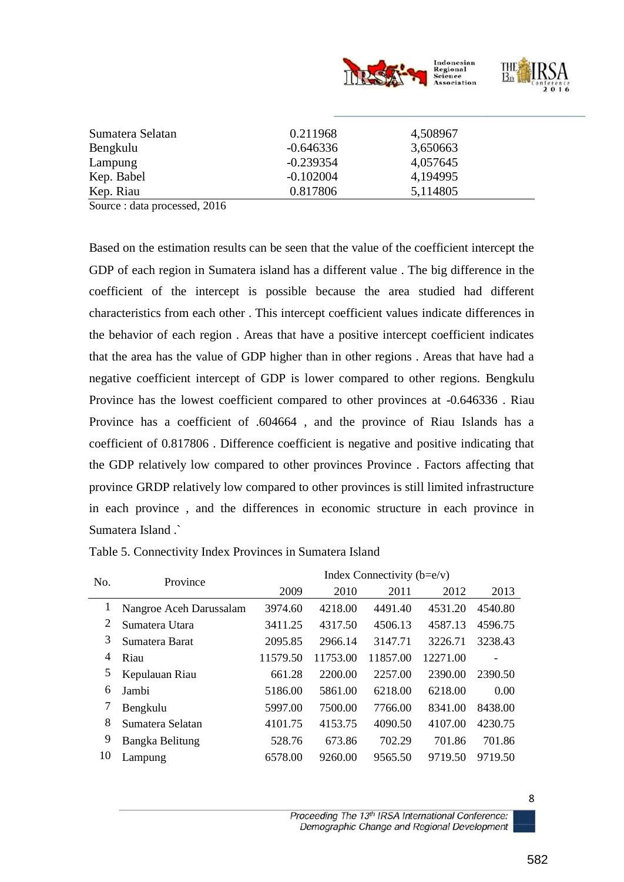

| Sumatera Selatan | 0.211968    | 4,508967 |  |
|------------------|-------------|----------|--|
| Bengkulu         | $-0.646336$ | 3,650663 |  |
| Lampung          | $-0.239354$ | 4,057645 |  |
| Kep. Babel       | $-0.102004$ | 4,194995 |  |
| Kep. Riau        | 0.817806    | 5,114805 |  |

Source : data processed, 2016

Based on the estimation results can be seen that the value of the coefficient intercept the GDP of each region in Sumatera island has a different value . The big difference in the coefficient of the intercept is possible because the area studied had different characteristics from each other . This intercept coefficient values indicate differences in the behavior of each region . Areas that have a positive intercept coefficient indicates that the area has the value of GDP higher than in other regions . Areas that have had a negative coefficient intercept of GDP is lower compared to other regions. Bengkulu Province has the lowest coefficient compared to other provinces at -0.646336 . Riau Province has a coefficient of .604664 , and the province of Riau Islands has a coefficient of 0.817806 . Difference coefficient is negative and positive indicating that the GDP relatively low compared to other provinces Province . Factors affecting that province GRDP relatively low compared to other provinces is still limited infrastructure in each province , and the differences in economic structure in each province in Sumatera Island .`

| No. | Province                | Index Connectivity $(b=e/v)$ |          |          |          |         |
|-----|-------------------------|------------------------------|----------|----------|----------|---------|
|     |                         | 2009                         | 2010     | 2011     | 2012     | 2013    |
| 1   | Nangroe Aceh Darussalam | 3974.60                      | 4218.00  | 4491.40  | 4531.20  | 4540.80 |
| 2   | Sumatera Utara          | 3411.25                      | 4317.50  | 4506.13  | 4587.13  | 4596.75 |
| 3   | Sumatera Barat          | 2095.85                      | 2966.14  | 3147.71  | 3226.71  | 3238.43 |
| 4   | Riau                    | 11579.50                     | 11753.00 | 11857.00 | 12271.00 |         |
| 5   | Kepulauan Riau          | 661.28                       | 2200.00  | 2257.00  | 2390.00  | 2390.50 |
| 6   | Jambi                   | 5186.00                      | 5861.00  | 6218.00  | 6218.00  | 0.00    |
|     | Bengkulu                | 5997.00                      | 7500.00  | 7766.00  | 8341.00  | 8438.00 |
| 8   | Sumatera Selatan        | 4101.75                      | 4153.75  | 4090.50  | 4107.00  | 4230.75 |
| 9   | Bangka Belitung         | 528.76                       | 673.86   | 702.29   | 701.86   | 701.86  |
| 10  | Lampung                 | 6578.00                      | 9260.00  | 9565.50  | 9719.50  | 9719.50 |

Table 5. Connectivity Index Provinces in Sumatera Island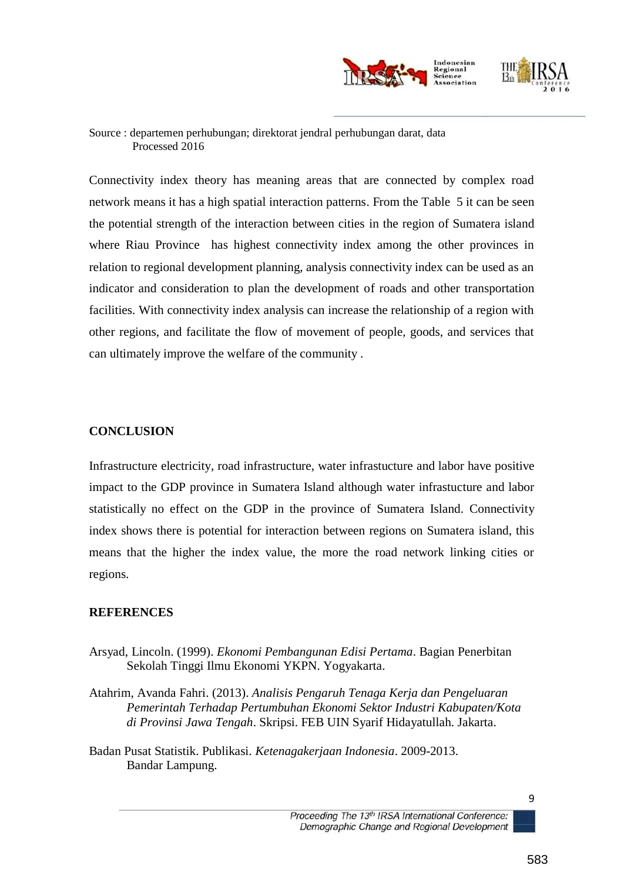

#### Source : departemen perhubungan; direktorat jendral perhubungan darat, data Processed 2016

Connectivity index theory has meaning areas that are connected by complex road network means it has a high spatial interaction patterns. From the Table 5 it can be seen the potential strength of the interaction between cities in the region of Sumatera island where Riau Province has highest connectivity index among the other provinces in relation to regional development planning, analysis connectivity index can be used as an indicator and consideration to plan the development of roads and other transportation facilities. With connectivity index analysis can increase the relationship of a region with other regions, and facilitate the flow of movement of people, goods, and services that can ultimately improve the welfare of the community .

### **CONCLUSION**

Infrastructure electricity, road infrastructure, water infrastucture and labor have positive impact to the GDP province in Sumatera Island although water infrastucture and labor statistically no effect on the GDP in the province of Sumatera Island. Connectivity index shows there is potential for interaction between regions on Sumatera island, this means that the higher the index value, the more the road network linking cities or regions.

#### **REFERENCES**

- Arsyad, Lincoln. (1999). *Ekonomi Pembangunan Edisi Pertama*. Bagian Penerbitan Sekolah Tinggi Ilmu Ekonomi YKPN. Yogyakarta.
- Atahrim, Avanda Fahri. (2013). *Analisis Pengaruh Tenaga Kerja dan Pengeluaran Pemerintah Terhadap Pertumbuhan Ekonomi Sektor Industri Kabupaten/Kota di Provinsi Jawa Tengah*. Skripsi. FEB UIN Syarif Hidayatullah. Jakarta.
- Badan Pusat Statistik. Publikasi. *Ketenagakerjaan Indonesia*. 2009-2013. Bandar Lampung.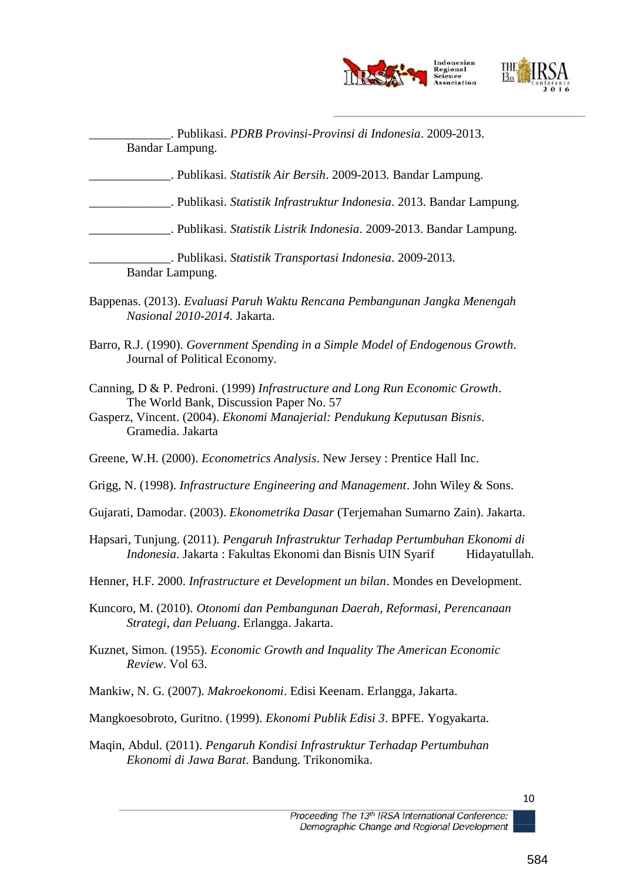

\_\_\_\_\_\_\_\_\_\_\_\_\_. Publikasi. *PDRB Provinsi-Provinsi di Indonesia*. 2009-2013. Bandar Lampung.

\_\_\_\_\_\_\_\_\_\_\_\_\_. Publikasi. *Statistik Air Bersih*. 2009-2013. Bandar Lampung.

\_\_\_\_\_\_\_\_\_\_\_\_\_. Publikasi. *Statistik Infrastruktur Indonesia*. 2013. Bandar Lampung.

\_\_\_\_\_\_\_\_\_\_\_\_\_. Publikasi. *Statistik Listrik Indonesia*. 2009-2013. Bandar Lampung.

\_\_\_\_\_\_\_\_\_\_\_\_\_. Publikasi. *Statistik Transportasi Indonesia*. 2009-2013. Bandar Lampung.

- Bappenas. (2013). *Evaluasi Paruh Waktu Rencana Pembangunan Jangka Menengah Nasional 2010-2014.* Jakarta.
- Barro, R.J. (1990). *Government Spending in a Simple Model of Endogenous Growth*. Journal of Political Economy.
- Canning, D & P. Pedroni. (1999) *Infrastructure and Long Run Economic Growth*. The World Bank, Discussion Paper No. 57
- Gasperz, Vincent. (2004). *Ekonomi Manajerial: Pendukung Keputusan Bisnis*. Gramedia. Jakarta
- Greene, W.H. (2000). *Econometrics Analysis*. New Jersey : Prentice Hall Inc.
- Grigg, N. (1998). *Infrastructure Engineering and Management*. John Wiley & Sons.
- Gujarati, Damodar. (2003). *Ekonometrika Dasar* (Terjemahan Sumarno Zain). Jakarta.
- Hapsari, Tunjung. (2011). *Pengaruh Infrastruktur Terhadap Pertumbuhan Ekonomi di Indonesia*. Jakarta : Fakultas Ekonomi dan Bisnis UIN Syarif Hidayatullah.
- Henner, H.F. 2000. *Infrastructure et Development un bilan*. Mondes en Development.
- Kuncoro, M. (2010). *Otonomi dan Pembangunan Daerah, Reformasi, Perencanaan Strategi, dan Peluang*. Erlangga. Jakarta.
- Kuznet, Simon. (1955). *Economic Growth and Inquality The American Economic Review*. Vol 63.
- Mankiw, N. G. (2007). *Makroekonomi*. Edisi Keenam. Erlangga, Jakarta.
- Mangkoesobroto, Guritno. (1999). *Ekonomi Publik Edisi 3*. BPFE. Yogyakarta.
- Maqin, Abdul. (2011). *Pengaruh Kondisi Infrastruktur Terhadap Pertumbuhan Ekonomi di Jawa Barat*. Bandung. Trikonomika.